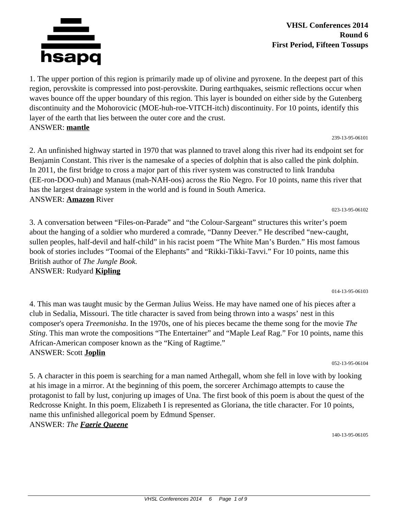

### **VHSL Conferences 2014 Round 6 First Period, Fifteen Tossups**

1. The upper portion of this region is primarily made up of olivine and pyroxene. In the deepest part of this region, perovskite is compressed into post-perovskite. During earthquakes, seismic reflections occur when waves bounce off the upper boundary of this region. This layer is bounded on either side by the Gutenberg discontinuity and the Mohorovicic (MOE-huh-roe-VITCH-itch) discontinuity. For 10 points, identify this layer of the earth that lies between the outer core and the crust. ANSWER: **mantle**

2. An unfinished highway started in 1970 that was planned to travel along this river had its endpoint set for Benjamin Constant. This river is the namesake of a species of dolphin that is also called the pink dolphin. In 2011, the first bridge to cross a major part of this river system was constructed to link Iranduba (EE-ron-DOO-nuh) and Manaus (mah-NAH-oos) across the Rio Negro. For 10 points, name this river that has the largest drainage system in the world and is found in South America. ANSWER: **Amazon** River

023-13-95-06102

3. A conversation between "Files-on-Parade" and "the Colour-Sargeant" structures this writer's poem about the hanging of a soldier who murdered a comrade, "Danny Deever." He described "new-caught, sullen peoples, half-devil and half-child" in his racist poem "The White Man's Burden." His most famous book of stories includes "Toomai of the Elephants" and "Rikki-Tikki-Tavvi." For 10 points, name this British author of *The Jungle Book.*

ANSWER: Rudyard **Kipling**

#### 014-13-95-06103

4. This man was taught music by the German Julius Weiss. He may have named one of his pieces after a club in Sedalia, Missouri. The title character is saved from being thrown into a wasps' nest in this composer's opera *Treemonisha*. In the 1970s, one of his pieces became the theme song for the movie *The Sting*. This man wrote the compositions "The Entertainer" and "Maple Leaf Rag." For 10 points, name this African-American composer known as the "King of Ragtime." ANSWER: Scott **Joplin**

052-13-95-06104

5. A character in this poem is searching for a man named Arthegall, whom she fell in love with by looking at his image in a mirror. At the beginning of this poem, the sorcerer Archimago attempts to cause the protagonist to fall by lust, conjuring up images of Una. The first book of this poem is about the quest of the Redcrosse Knight. In this poem, Elizabeth I is represented as Gloriana, the title character. For 10 points, name this unfinished allegorical poem by Edmund Spenser.

ANSWER: *The Faerie Queene*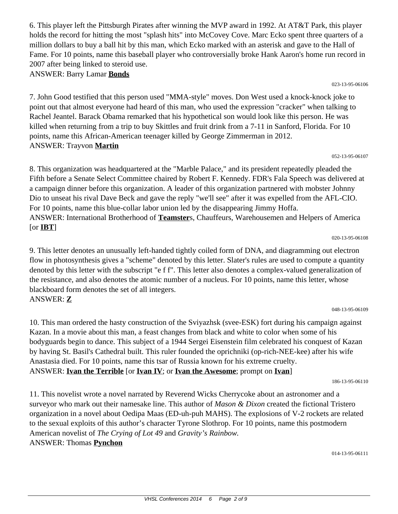6. This player left the Pittsburgh Pirates after winning the MVP award in 1992. At AT&T Park, this player holds the record for hitting the most "splash hits" into McCovey Cove. Marc Ecko spent three quarters of a million dollars to buy a ball hit by this man, which Ecko marked with an asterisk and gave to the Hall of Fame. For 10 points, name this baseball player who controversially broke Hank Aaron's home run record in 2007 after being linked to steroid use.

ANSWER: Barry Lamar **Bonds**

7. John Good testified that this person used "MMA-style" moves. Don West used a knock-knock joke to point out that almost everyone had heard of this man, who used the expression "cracker" when talking to Rachel Jeantel. Barack Obama remarked that his hypothetical son would look like this person. He was killed when returning from a trip to buy Skittles and fruit drink from a 7-11 in Sanford, Florida. For 10 points, name this African-American teenager killed by George Zimmerman in 2012. ANSWER: Trayvon **Martin**

#### 052-13-95-06107

023-13-95-06106

8. This organization was headquartered at the "Marble Palace," and its president repeatedly pleaded the Fifth before a Senate Select Committee chaired by Robert F. Kennedy. FDR's Fala Speech was delivered at a campaign dinner before this organization. A leader of this organization partnered with mobster Johnny Dio to unseat his rival Dave Beck and gave the reply "we'll see" after it was expelled from the AFL-CIO. For 10 points, name this blue-collar labor union led by the disappearing Jimmy Hoffa. ANSWER: International Brotherhood of **Teamster**s, Chauffeurs, Warehousemen and Helpers of America [or **IBT**]

020-13-95-06108

9. This letter denotes an unusually left-handed tightly coiled form of DNA, and diagramming out electron flow in photosynthesis gives a "scheme" denoted by this letter. Slater's rules are used to compute a quantity denoted by this letter with the subscript "e f f". This letter also denotes a complex-valued generalization of the resistance, and also denotes the atomic number of a nucleus. For 10 points, name this letter, whose blackboard form denotes the set of all integers. ANSWER: **Z**

#### 048-13-95-06109

10. This man ordered the hasty construction of the Sviyazhsk (svee-ESK) fort during his campaign against Kazan. In a movie about this man, a feast changes from black and white to color when some of his bodyguards begin to dance. This subject of a 1944 Sergei Eisenstein film celebrated his conquest of Kazan by having St. Basil's Cathedral built. This ruler founded the oprichniki (op-rich-NEE-kee) after his wife Anastasia died. For 10 points, name this tsar of Russia known for his extreme cruelty. ANSWER: **Ivan the Terrible** [or **Ivan IV**; or **Ivan the Awesome**; prompt on **Ivan**]

186-13-95-06110

11. This novelist wrote a novel narrated by Reverend Wicks Cherrycoke about an astronomer and a surveyor who mark out their namesake line. This author of *Mason & Dixon* created the fictional Tristero organization in a novel about Oedipa Maas (ED-uh-puh MAHS). The explosions of V-2 rockets are related to the sexual exploits of this author's character Tyrone Slothrop. For 10 points, name this postmodern American novelist of *The Crying of Lot 49* and *Gravity's Rainbow.* ANSWER: Thomas **Pynchon**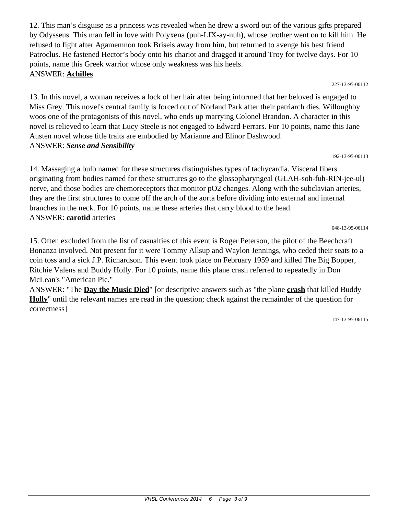12. This man's disguise as a princess was revealed when he drew a sword out of the various gifts prepared by Odysseus. This man fell in love with Polyxena (puh-LIX-ay-nuh), whose brother went on to kill him. He refused to fight after Agamemnon took Briseis away from him, but returned to avenge his best friend Patroclus. He fastened Hector's body onto his chariot and dragged it around Troy for twelve days. For 10 points, name this Greek warrior whose only weakness was his heels. ANSWER: **Achilles**

227-13-95-06112

13. In this novel, a woman receives a lock of her hair after being informed that her beloved is engaged to Miss Grey. This novel's central family is forced out of Norland Park after their patriarch dies. Willoughby woos one of the protagonists of this novel, who ends up marrying Colonel Brandon. A character in this novel is relieved to learn that Lucy Steele is not engaged to Edward Ferrars. For 10 points, name this Jane Austen novel whose title traits are embodied by Marianne and Elinor Dashwood. ANSWER: *Sense and Sensibility*

192-13-95-06113

14. Massaging a bulb named for these structures distinguishes types of tachycardia. Visceral fibers originating from bodies named for these structures go to the glossopharyngeal (GLAH-soh-fuh-RIN-jee-ul) nerve, and those bodies are chemoreceptors that monitor pO2 changes. Along with the subclavian arteries, they are the first structures to come off the arch of the aorta before dividing into external and internal branches in the neck. For 10 points, name these arteries that carry blood to the head. ANSWER: **carotid** arteries

048-13-95-06114

15. Often excluded from the list of casualties of this event is Roger Peterson, the pilot of the Beechcraft Bonanza involved. Not present for it were Tommy Allsup and Waylon Jennings, who ceded their seats to a coin toss and a sick J.P. Richardson. This event took place on February 1959 and killed The Big Bopper, Ritchie Valens and Buddy Holly. For 10 points, name this plane crash referred to repeatedly in Don McLean's "American Pie."

ANSWER: "The **Day the Music Died**" [or descriptive answers such as "the plane **crash** that killed Buddy **Holly**" until the relevant names are read in the question; check against the remainder of the question for correctness]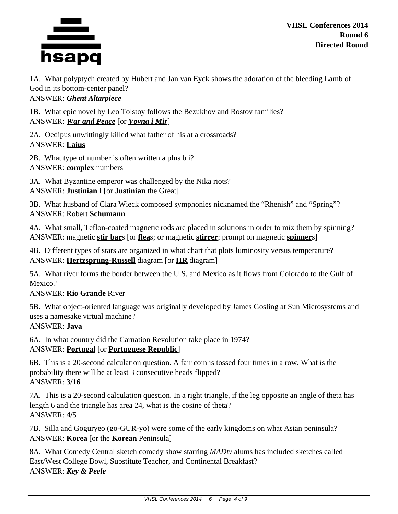

**VHSL Conferences 2014 Round 6 Directed Round**

1A. What polyptych created by Hubert and Jan van Eyck shows the adoration of the bleeding Lamb of God in its bottom-center panel? ANSWER: *Ghent Altarpiece*

1B. What epic novel by Leo Tolstoy follows the Bezukhov and Rostov families? ANSWER: *War and Peace* [or *Voyna i Mir*]

2A. Oedipus unwittingly killed what father of his at a crossroads? ANSWER: **Laius**

2B. What type of number is often written a plus b i? ANSWER: **complex** numbers

3A. What Byzantine emperor was challenged by the Nika riots? ANSWER: **Justinian** I [or **Justinian** the Great]

3B. What husband of Clara Wieck composed symphonies nicknamed the "Rhenish" and "Spring"? ANSWER: Robert **Schumann**

4A. What small, Teflon-coated magnetic rods are placed in solutions in order to mix them by spinning? ANSWER: magnetic **stir bar**s [or **flea**s; or magnetic **stirrer**; prompt on magnetic **spinner**s]

4B. Different types of stars are organized in what chart that plots luminosity versus temperature? ANSWER: **Hertzsprung-Russell** diagram [or **HR** diagram]

5A. What river forms the border between the U.S. and Mexico as it flows from Colorado to the Gulf of Mexico?

## ANSWER: **Rio Grande** River

5B. What object-oriented language was originally developed by James Gosling at Sun Microsystems and uses a namesake virtual machine?

## ANSWER: **Java**

6A. In what country did the Carnation Revolution take place in 1974? ANSWER: **Portugal** [or **Portuguese Republic**]

6B. This is a 20-second calculation question. A fair coin is tossed four times in a row. What is the probability there will be at least 3 consecutive heads flipped? ANSWER: **3/16**

7A. This is a 20-second calculation question. In a right triangle, if the leg opposite an angle of theta has length 6 and the triangle has area 24, what is the cosine of theta? ANSWER: **4/5**

7B. Silla and Goguryeo (go-GUR-yo) were some of the early kingdoms on what Asian peninsula? ANSWER: **Korea** [or the **Korean** Peninsula]

8A. What Comedy Central sketch comedy show starring *MADtv* alums has included sketches called East/West College Bowl, Substitute Teacher, and Continental Breakfast? ANSWER: *Key & Peele*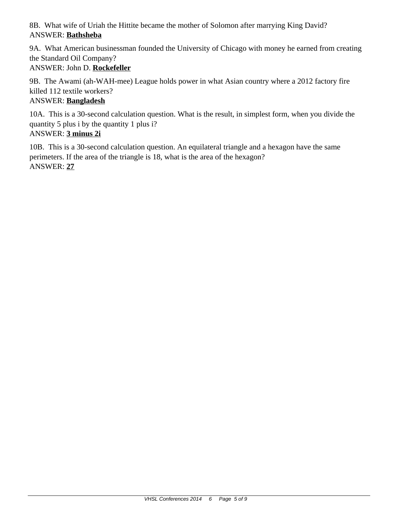8B. What wife of Uriah the Hittite became the mother of Solomon after marrying King David? ANSWER: **Bathsheba**

9A. What American businessman founded the University of Chicago with money he earned from creating the Standard Oil Company? ANSWER: John D. **Rockefeller**

9B. The Awami (ah-WAH-mee) League holds power in what Asian country where a 2012 factory fire killed 112 textile workers?

## ANSWER: **Bangladesh**

10A. This is a 30-second calculation question. What is the result, in simplest form, when you divide the quantity 5 plus i by the quantity 1 plus i?

# ANSWER: **3 minus 2i**

10B. This is a 30-second calculation question. An equilateral triangle and a hexagon have the same perimeters. If the area of the triangle is 18, what is the area of the hexagon? ANSWER: **27**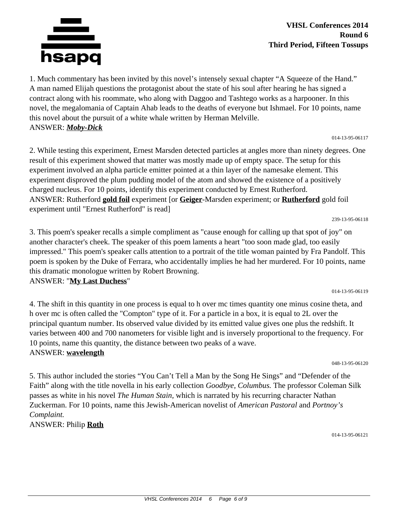

1. Much commentary has been invited by this novel's intensely sexual chapter "A Squeeze of the Hand." A man named Elijah questions the protagonist about the state of his soul after hearing he has signed a contract along with his roommate, who along with Daggoo and Tashtego works as a harpooner. In this novel, the megalomania of Captain Ahab leads to the deaths of everyone but Ishmael. For 10 points, name this novel about the pursuit of a white whale written by Herman Melville. ANSWER: *Moby-Dick*

014-13-95-06117

2. While testing this experiment, Ernest Marsden detected particles at angles more than ninety degrees. One result of this experiment showed that matter was mostly made up of empty space. The setup for this experiment involved an alpha particle emitter pointed at a thin layer of the namesake element. This experiment disproved the plum pudding model of the atom and showed the existence of a positively charged nucleus. For 10 points, identify this experiment conducted by Ernest Rutherford. ANSWER: Rutherford **gold foil** experiment [or **Geiger**-Marsden experiment; or **Rutherford** gold foil experiment until "Ernest Rutherford" is read]

239-13-95-06118

3. This poem's speaker recalls a simple compliment as "cause enough for calling up that spot of joy" on another character's cheek. The speaker of this poem laments a heart "too soon made glad, too easily impressed." This poem's speaker calls attention to a portrait of the title woman painted by Fra Pandolf. This poem is spoken by the Duke of Ferrara, who accidentally implies he had her murdered. For 10 points, name this dramatic monologue written by Robert Browning.

ANSWER: "**My Last Duchess**"

4. The shift in this quantity in one process is equal to h over mc times quantity one minus cosine theta, and h over mc is often called the "Compton" type of it. For a particle in a box, it is equal to 2L over the principal quantum number. Its observed value divided by its emitted value gives one plus the redshift. It varies between 400 and 700 nanometers for visible light and is inversely proportional to the frequency. For 10 points, name this quantity, the distance between two peaks of a wave. ANSWER: **wavelength**

048-13-95-06120

014-13-95-06119

5. This author included the stories "You Can't Tell a Man by the Song He Sings" and "Defender of the Faith" along with the title novella in his early collection *Goodbye, Columbus.* The professor Coleman Silk passes as white in his novel *The Human Stain,* which is narrated by his recurring character Nathan Zuckerman. For 10 points, name this Jewish-American novelist of *American Pastoral* and *Portnoy's Complaint.*

ANSWER: Philip **Roth**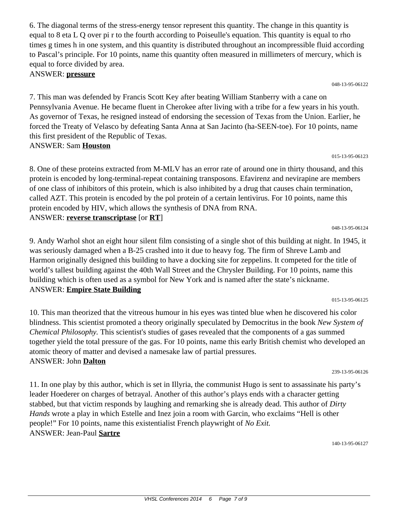6. The diagonal terms of the stress-energy tensor represent this quantity. The change in this quantity is equal to 8 eta L Q over pi r to the fourth according to Poiseulle's equation. This quantity is equal to rho times g times h in one system, and this quantity is distributed throughout an incompressible fluid according to Pascal's principle. For 10 points, name this quantity often measured in millimeters of mercury, which is equal to force divided by area.

ANSWER: **pressure**

7. This man was defended by Francis Scott Key after beating William Stanberry with a cane on Pennsylvania Avenue. He became fluent in Cherokee after living with a tribe for a few years in his youth. As governor of Texas, he resigned instead of endorsing the secession of Texas from the Union. Earlier, he forced the Treaty of Velasco by defeating Santa Anna at San Jacinto (ha-SEEN-toe). For 10 points, name this first president of the Republic of Texas. ANSWER: Sam **Houston**

048-13-95-06122

8. One of these proteins extracted from M-MLV has an error rate of around one in thirty thousand, and this protein is encoded by long-terminal-repeat containing transposons. Efavirenz and nevirapine are members of one class of inhibitors of this protein, which is also inhibited by a drug that causes chain termination, called AZT. This protein is encoded by the pol protein of a certain lentivirus. For 10 points, name this protein encoded by HIV, which allows the synthesis of DNA from RNA. ANSWER: **reverse transcriptase** [or **RT**]

9. Andy Warhol shot an eight hour silent film consisting of a single shot of this building at night. In 1945, it was seriously damaged when a B-25 crashed into it due to heavy fog. The firm of Shreve Lamb and Harmon originally designed this building to have a docking site for zeppelins. It competed for the title of world's tallest building against the 40th Wall Street and the Chrysler Building. For 10 points, name this building which is often used as a symbol for New York and is named after the state's nickname. ANSWER: **Empire State Building**

015-13-95-06125

together yield the total pressure of the gas. For 10 points, name this early British chemist who developed an atomic theory of matter and devised a namesake law of partial pressures. ANSWER: John **Dalton** 239-13-95-06126 11. In one play by this author, which is set in Illyria, the communist Hugo is sent to assassinate his party's leader Hoederer on charges of betrayal. Another of this author's plays ends with a character getting stabbed, but that victim responds by laughing and remarking she is already dead. This author of *Dirty Hands* wrote a play in which Estelle and Inez join a room with Garcin, who exclaims "Hell is other

*Chemical Philosophy.* This scientist's studies of gases revealed that the components of a gas summed

people!" For 10 points, name this existentialist French playwright of *No Exit.* ANSWER: Jean-Paul **Sartre**

140-13-95-06127

048-13-95-06124

### 10. This man theorized that the vitreous humour in his eyes was tinted blue when he discovered his color blindness. This scientist promoted a theory originally speculated by Democritus in the book *New System of*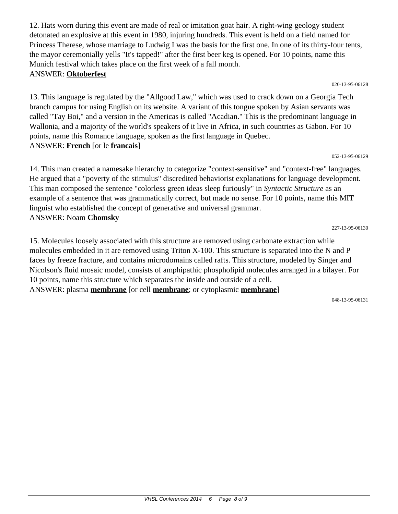12. Hats worn during this event are made of real or imitation goat hair. A right-wing geology student detonated an explosive at this event in 1980, injuring hundreds. This event is held on a field named for Princess Therese, whose marriage to Ludwig I was the basis for the first one. In one of its thirty-four tents, the mayor ceremonially yells "It's tapped!" after the first beer keg is opened. For 10 points, name this Munich festival which takes place on the first week of a fall month. ANSWER: **Oktoberfest**

020-13-95-06128

13. This language is regulated by the "Allgood Law," which was used to crack down on a Georgia Tech branch campus for using English on its website. A variant of this tongue spoken by Asian servants was called "Tay Boi," and a version in the Americas is called "Acadian." This is the predominant language in Wallonia, and a majority of the world's speakers of it live in Africa, in such countries as Gabon. For 10 points, name this Romance language, spoken as the first language in Quebec. ANSWER: **French** [or le **francais**]

052-13-95-06129

14. This man created a namesake hierarchy to categorize "context-sensitive" and "context-free" languages. He argued that a "poverty of the stimulus" discredited behaviorist explanations for language development. This man composed the sentence "colorless green ideas sleep furiously" in *Syntactic Structure* as an example of a sentence that was grammatically correct, but made no sense. For 10 points, name this MIT linguist who established the concept of generative and universal grammar. ANSWER: Noam **Chomsky**

227-13-95-06130

15. Molecules loosely associated with this structure are removed using carbonate extraction while molecules embedded in it are removed using Triton X-100. This structure is separated into the N and P faces by freeze fracture, and contains microdomains called rafts. This structure, modeled by Singer and Nicolson's fluid mosaic model, consists of amphipathic phospholipid molecules arranged in a bilayer. For 10 points, name this structure which separates the inside and outside of a cell. ANSWER: plasma **membrane** [or cell **membrane**; or cytoplasmic **membrane**]